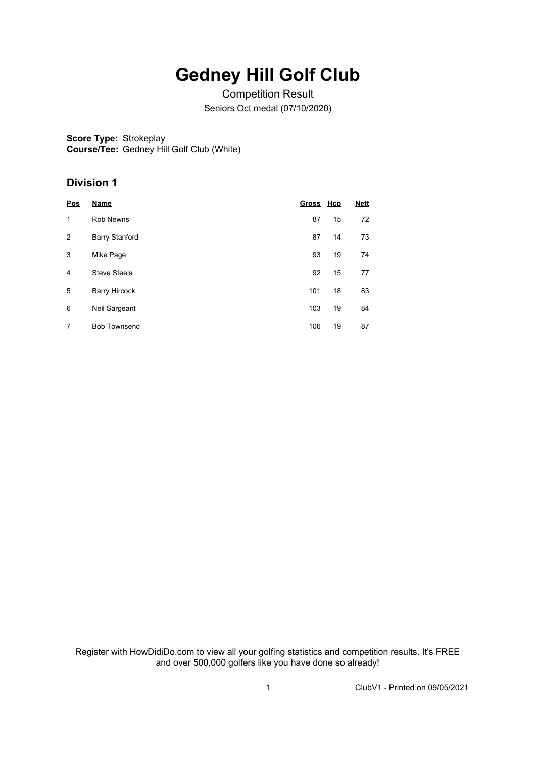# **Gedney Hill Golf Club**

Competition Result Seniors Oct medal (07/10/2020)

**Score Type:** Strokeplay **Course/Tee:** Gedney Hill Golf Club (White)

### **Division 1**

| Pos            | Name                  | Gross Hcp |    | <b>Nett</b> |
|----------------|-----------------------|-----------|----|-------------|
| 1              | <b>Rob Newns</b>      | 87        | 15 | 72          |
| $\overline{2}$ | <b>Barry Stanford</b> | 87        | 14 | 73          |
| 3              | Mike Page             | 93        | 19 | 74          |
| 4              | <b>Steve Steels</b>   | 92        | 15 | 77          |
| 5              | <b>Barry Hircock</b>  | 101       | 18 | 83          |
| 6              | Neil Sargeant         | 103       | 19 | 84          |
| 7              | <b>Bob Townsend</b>   | 106       | 19 | 87          |

Register with HowDidiDo.com to view all your golfing statistics and competition results. It's FREE and over 500,000 golfers like you have done so already!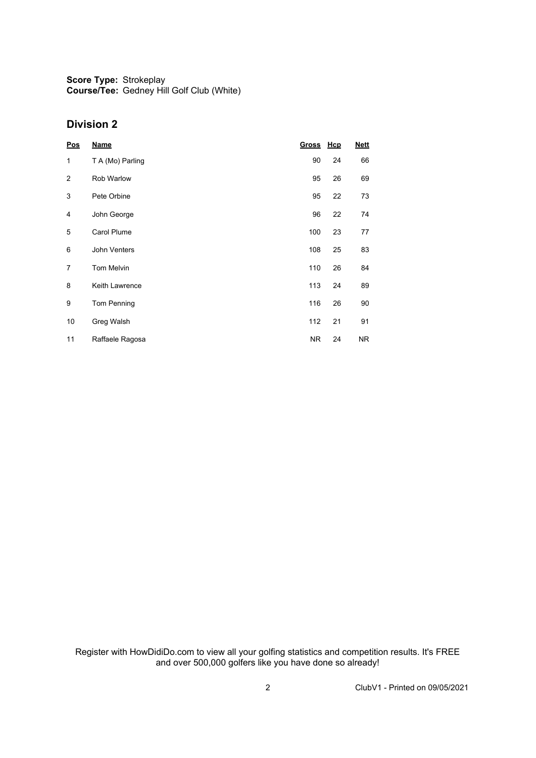**Score Type: Course/Tee:** Strokeplay Gedney Hill Golf Club (White)

### **Division 2**

| Pos            | <b>Name</b>        | Gross Hcp |    | <b>Nett</b> |
|----------------|--------------------|-----------|----|-------------|
| 1              | T A (Mo) Parling   | 90        | 24 | 66          |
| $\overline{2}$ | Rob Warlow         | 95        | 26 | 69          |
| 3              | Pete Orbine        | 95        | 22 | 73          |
| 4              | John George        | 96        | 22 | 74          |
| 5              | <b>Carol Plume</b> | 100       | 23 | 77          |
| 6              | John Venters       | 108       | 25 | 83          |
| 7              | <b>Tom Melvin</b>  | 110       | 26 | 84          |
| 8              | Keith Lawrence     | 113       | 24 | 89          |
| 9              | Tom Penning        | 116       | 26 | 90          |
| 10             | Greg Walsh         | 112       | 21 | 91          |
| 11             | Raffaele Ragosa    | NR.       | 24 | NR.         |

Register with HowDidiDo.com to view all your golfing statistics and competition results. It's FREE and over 500,000 golfers like you have done so already!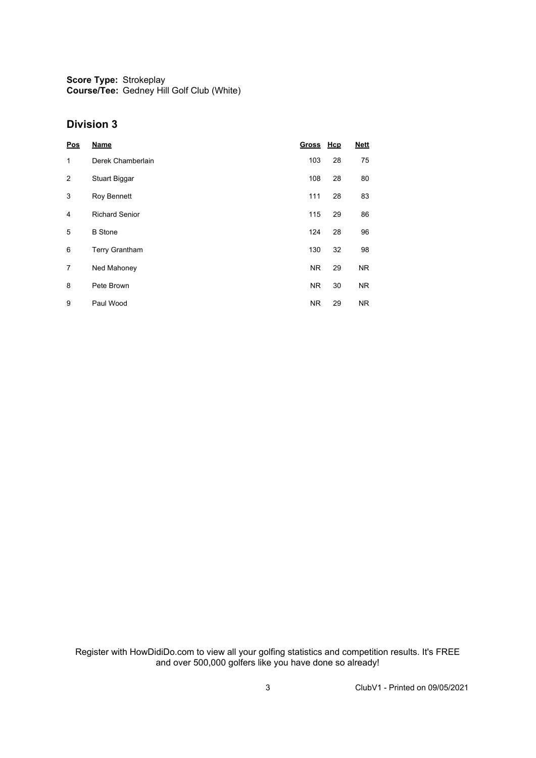**Score Type:** Strokeplay **Course/Tee:** Gedney Hill Golf Club (White)

#### **Division 3**

| Pos            | <b>Name</b>           | Gross Hcp |    | <b>Nett</b>    |
|----------------|-----------------------|-----------|----|----------------|
| 1              | Derek Chamberlain     | 103       | 28 | 75             |
| $\overline{2}$ | Stuart Biggar         | 108       | 28 | 80             |
| 3              | Roy Bennett           | 111       | 28 | 83             |
| 4              | <b>Richard Senior</b> | 115       | 29 | 86             |
| 5              | <b>B</b> Stone        | 124       | 28 | 96             |
| 6              | Terry Grantham        | 130       | 32 | 98             |
| 7              | Ned Mahoney           | <b>NR</b> | 29 | N <sub>R</sub> |
| 8              | Pete Brown            | <b>NR</b> | 30 | <b>NR</b>      |
| 9              | Paul Wood             | <b>NR</b> | 29 | <b>NR</b>      |

Register with HowDidiDo.com to view all your golfing statistics and competition results. It's FREE and over 500,000 golfers like you have done so already!